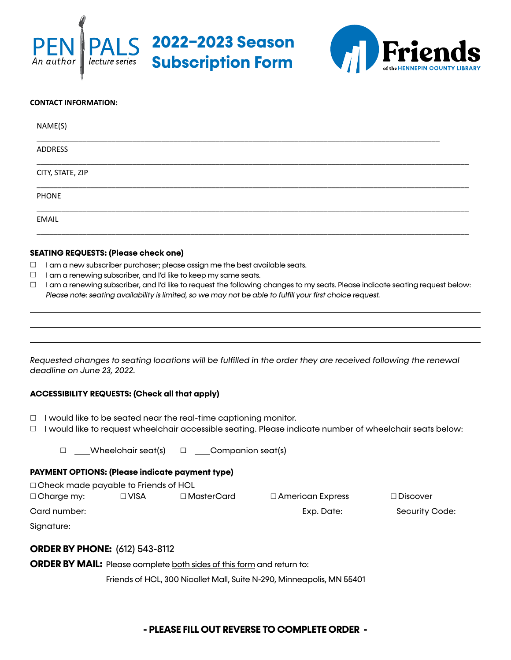



| NAME(S)          |  |
|------------------|--|
| <b>ADDRESS</b>   |  |
| CITY, STATE, ZIP |  |
| PHONE            |  |
| <b>EMAIL</b>     |  |

#### **SEATING REQUESTS: (Please check one)**

- $\Box$  I am a new subscriber purchaser; please assign me the best available seats.
- $\Box$  I am a renewing subscriber, and I'd like to keep my same seats.
- $\Box$  I am a renewing subscriber, and I'd like to request the following changes to my seats. Please indicate seating request below: *Please note: seating availability is limited, so we may not be able to fulfill your first choice request.*

*Requested changes to seating locations will be fulfilled in the order they are received following the renewal deadline on June 23, 2022.*

### **ACCESSIBILITY REQUESTS: (Check all that apply)**

- $\Box$  I would like to be seated near the real-time captioning monitor.
- $\Box$  I would like to request wheelchair accessible seating. Please indicate number of wheelchair seats below:

 $\Box$  Wheelchair seat(s)  $\Box$  Companion seat(s)

### **PAYMENT OPTIONS: (Please indicate payment type)**

| $\Box$ Check made payable to Friends of HCL |        |                   |                         |                 |  |  |
|---------------------------------------------|--------|-------------------|-------------------------|-----------------|--|--|
| $\Box$ Charge my:                           | ⊟ VISA | $\Box$ MasterCard | $\Box$ American Express | $\Box$ Discover |  |  |
| Card number:                                |        |                   | Exp. Date:              | Security Code:  |  |  |
| Signature:                                  |        |                   |                         |                 |  |  |

### **ORDER BY PHONE:** (612) 543-8112

**ORDER BY MAIL:** Please complete both sides of this form and return to:

Friends of HCL, 300 Nicollet Mall, Suite N-290, Minneapolis, MN 55401